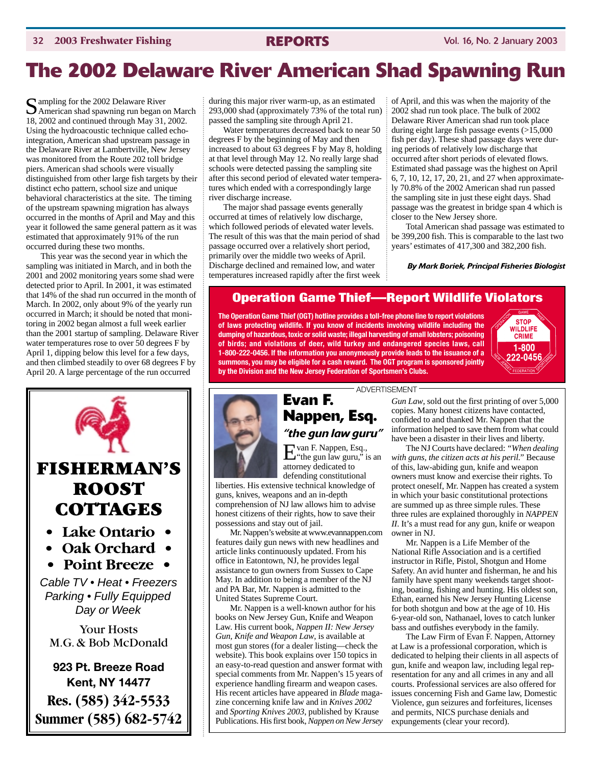## **The 2002 Delaware River American Shad Spawning Run**

Sampling for the 2002 Delaware River<br>American shad spawning run began on March 18, 2002 and continued through May 31, 2002. Using the hydroacoustic technique called echointegration, American shad upstream passage in the Delaware River at Lambertville, New Jersey was monitored from the Route 202 toll bridge piers. American shad schools were visually distinguished from other large fish targets by their distinct echo pattern, school size and unique behavioral characteristics at the site. The timing of the upstream spawning migration has always occurred in the months of April and May and this year it followed the same general pattern as it was estimated that approximately 91% of the run occurred during these two months.

This year was the second year in which the sampling was initiated in March, and in both the 2001 and 2002 monitoring years some shad were detected prior to April. In 2001, it was estimated that 14% of the shad run occurred in the month of March. In 2002, only about 9% of the yearly run occurred in March; it should be noted that monitoring in 2002 began almost a full week earlier than the 2001 startup of sampling. Delaware River water temperatures rose to over 50 degrees F by April 1, dipping below this level for a few days, and then climbed steadily to over 68 degrees F by April 20. A large percentage of the run occurred



during this major river warm-up, as an estimated 293,000 shad (approximately  $\overline{73\%}$  of the total run) passed the sampling site through April 21.

Water temperatures decreased back to near 50 degrees F by the beginning of May and then increased to about 63 degrees F by May 8, holding at that level through May 12. No really large shad schools were detected passing the sampling site after this second period of elevated water temperatures which ended with a correspondingly large river discharge increase.

The major shad passage events generally occurred at times of relatively low discharge, which followed periods of elevated water levels. The result of this was that the main period of shad passage occurred over a relatively short period, primarily over the middle two weeks of April. Discharge declined and remained low, and water temperatures increased rapidly after the first week of April, and this was when the majority of the 2002 shad run took place. The bulk of 2002 Delaware River American shad run took place during eight large fish passage events (>15,000 fish per day). These shad passage days were during periods of relatively low discharge that occurred after short periods of elevated flows. Estimated shad passage was the highest on April 6, 7, 10, 12, 17, 20, 21, and 27 when approximately 70.8% of the 2002 American shad run passed the sampling site in just these eight days. Shad passage was the greatest in bridge span 4 which is closer to the New Jersey shore.

Total American shad passage was estimated to be 399,200 fish. This is comparable to the last two years' estimates of 417,300 and 382,200 fish.

*By Mark Boriek, Principal Fisheries Biologist*

### **Operation Game Thief—Report Wildlife Violators**

**The Operation Game Thief (OGT) hotline provides a toll-free phone line to report violations of laws protecting wildlife. If you know of incidents involving wildlife including the dumping of hazardous, toxic or solid waste; illegal harvesting of small lobsters; poisoning of birds; and violations of deer, wild turkey and endangered species laws, call 1-800-222-0456. If the information you anonymously provide leads to the issuance of a summons, you may be eligible for a cash reward. The OGT program is sponsored jointly by the Division and the New Jersey Federation of Sportsmen's Clubs.**





guns, knives, weapons and an in-depth comprehension of NJ law allows him to advise honest citizens of their rights, how to save their

Mr. Nappen's website at www.evannappen.com features daily gun news with new headlines and article links continuously updated. From his office in Eatontown, NJ, he provides legal assistance to gun owners from Sussex to Cape May. In addition to being a member of the NJ and PA Bar, Mr. Nappen is admitted to the

Mr. Nappen is a well-known author for his books on New Jersey Gun, Knife and Weapon Law. His current book, *Nappen II: New Jersey Gun, Knife and Weapon Law*, is available at most gun stores (for a dealer listing—check the website). This book explains over 150 topics in an easy-to-read question and answer format with special comments from Mr. Nappen's 15 years of experience handling firearm and weapon cases. His recent articles have appeared in *Blade* magazine concerning knife law and in *Knives 2002* and *Sporting Knives 2003*, published by Krause Publications. His first book,*Nappen on New Jersey*

possessions and stay out of jail.

United States Supreme Court.

## ADVERTISEMENT

*Gun Law*, sold out the first printing of over 5,000 copies. Many honest citizens have contacted, confided to and thanked Mr. Nappen that the information helped to save them from what could have been a disaster in their lives and liberty.

The NJ Courts have declared: *"When dealing with guns, the citizen acts at his peril."* Because of this, law-abiding gun, knife and weapon owners must know and exercise their rights. To protect oneself, Mr. Nappen has created a system in which your basic constitutional protections are summed up as three simple rules. These three rules are explained thoroughly in *NAPPEN II*. It's a must read for any gun, knife or weapon owner in NJ.

Mr. Nappen is a Life Member of the National Rifle Association and is a certified instructor in Rifle, Pistol, Shotgun and Home Safety. An avid hunter and fisherman, he and his family have spent many weekends target shooting, boating, fishing and hunting. His oldest son, Ethan, earned his New Jersey Hunting License for both shotgun and bow at the age of 10. His 6-year-old son, Nathanael, loves to catch lunker bass and outfishes everybody in the family.

The Law Firm of Evan F. Nappen, Attorney at Law is a professional corporation, which is dedicated to helping their clients in all aspects of gun, knife and weapon law, including legal representation for any and all crimes in any and all courts. Professional services are also offered for issues concerning Fish and Game law, Domestic Violence, gun seizures and forfeitures, licenses and permits, NICS purchase denials and expungements (clear your record).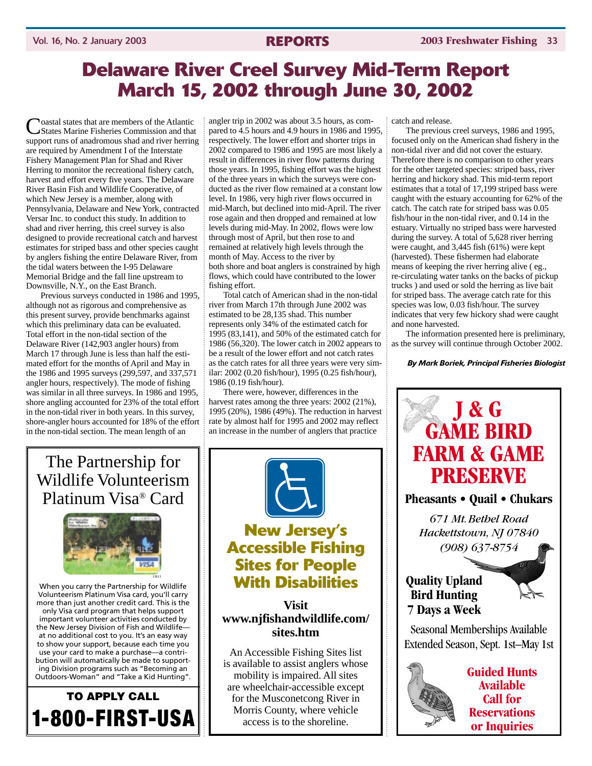### **Delaware River Creel Survey Mid-Term Report March 15, 2002 through June 30, 2002**

**Noastal states that are members of the Atlantic** States Marine Fisheries Commission and that support runs of anadromous shad and river herring are required by Amendment I of the Interstate Fishery Management Plan for Shad and River Herring to monitor the recreational fishery catch, harvest and effort every five years. The Delaware River Basin Fish and Wildlife Cooperative, of which New Jersey is a member, along with Pennsylvania, Delaware and New York, contracted Versar Inc. to conduct this study. In addition to shad and river herring, this creel survey is also designed to provide recreational catch and harvest estimates for striped bass and other species caught by anglers fishing the entire Delaware River, from the tidal waters between the I-95 Delaware Memorial Bridge and the fall line upstream to Downsville, N.Y., on the East Branch.

Previous surveys conducted in 1986 and 1995, although not as rigorous and comprehensive as this present survey, provide benchmarks against which this preliminary data can be evaluated. Total effort in the non-tidal section of the Delaware River (142,903 angler hours) from March 17 through June is less than half the estimated effort for the months of April and May in the 1986 and 1995 surveys (299,597, and 337,571 angler hours, respectively). The mode of fishing was similar in all three surveys. In 1986 and 1995, shore angling accounted for 23% of the total effort in the non-tidal river in both years. In this survey, shore-angler hours accounted for 18% of the effort in the non-tidal section. The mean length of an

angler trip in 2002 was about 3.5 hours, as compared to 4.5 hours and 4.9 hours in 1986 and 1995, respectively. The lower effort and shorter trips in 2002 compared to 1986 and 1995 are most likely a result in differences in river flow patterns during those years. In 1995, fishing effort was the highest of the three years in which the surveys were conducted as the river flow remained at a constant low level. In 1986, very high river flows occurred in mid-March, but declined into mid-April. The river rose again and then dropped and remained at low levels during mid-May. In 2002, flows were low through most of April, but then rose to and remained at relatively high levels through the month of May. Access to the river by both shore and boat anglers is constrained by high flows, which could have contributed to the lower fishing effort.

Total catch of American shad in the non-tidal river from March 17th through June 2002 was estimated to be 28,135 shad. This number represents only 34% of the estimated catch for 1995 (83,141), and 50% of the estimated catch for 1986 (56,320). The lower catch in 2002 appears to be a result of the lower effort and not catch rates as the catch rates for all three years were very similar: 2002 (0.20 fish/hour), 1995 (0.25 fish/hour), 1986 (0.19 fish/hour).

There were, however, differences in the harvest rates among the three years: 2002 (21%), 1995 (20%), 1986 (49%). The reduction in harvest rate by almost half for 1995 and 2002 may reflect an increase in the number of anglers that practice

### The Partnership for Wildlife Volunteerism Platinum Visa® Card



When you carry the Partnership for Wildlife Volunteerism Platinum Visa card, you'll carry more than just another credit card. This is the only Visa card program that helps support important volunteer activities conducted by the New Jersey Division of Fish and Wildlife at no additional cost to you. It's an easy way to show your support, because each time you use your card to make a purchase—a contribution will automatically be made to supporting Division programs such as "Becoming an Outdoors-Woman" and "Take a Kid Hunting".





### **New Jersey's Accessible Fishing Sites for People With Disabilities**

### **Visit www.njfishandwildlife.com/ sites.htm**

An Accessible Fishing Sites list is available to assist anglers whose mobility is impaired. All sites are wheelchair-accessible except for the Musconetcong River in Morris County, where vehicle access is to the shoreline.

catch and release.

The previous creel surveys, 1986 and 1995, focused only on the American shad fishery in the non-tidal river and did not cover the estuary. Therefore there is no comparison to other years for the other targeted species: striped bass, river herring and hickory shad. This mid-term report estimates that a total of 17,199 striped bass were caught with the estuary accounting for 62% of the catch. The catch rate for striped bass was 0.05 fish/hour in the non-tidal river, and 0.14 in the estuary. Virtually no striped bass were harvested during the survey. A total of 5,628 river herring were caught, and 3,445 fish (61%) were kept (harvested). These fishermen had elaborate means of keeping the river herring alive ( eg., re-circulating water tanks on the backs of pickup trucks ) and used or sold the herring as live bait for striped bass. The average catch rate for this species was low, 0.03 fish/hour. The survey indicates that very few hickory shad were caught and none harvested.

The information presented here is preliminary, as the survey will continue through October 2002.

*By Mark Boriek, Principal Fisheries Biologist*

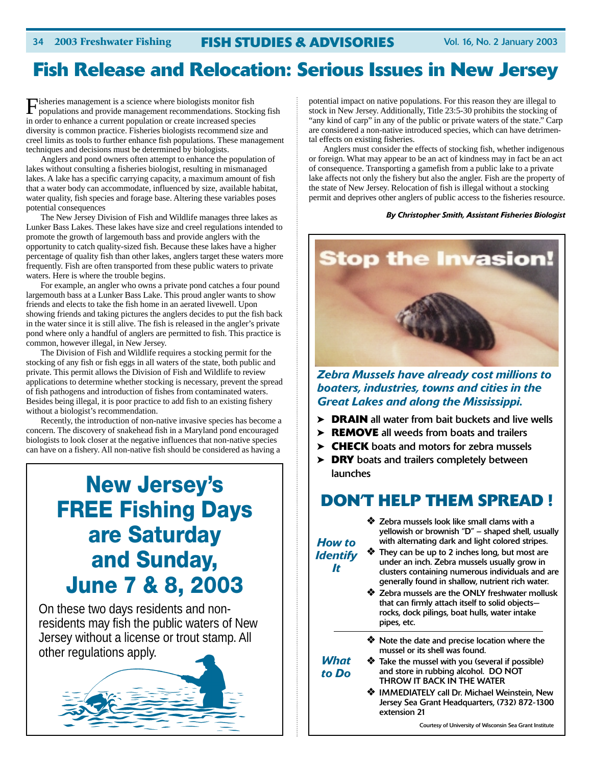## **Fish Release and Relocation: Serious Issues in New Jersey**

Fisheries management is a science where biologists monitor fish populations and provide management recommendations. Stocking fish in order to enhance a current population or create increased species diversity is common practice. Fisheries biologists recommend size and creel limits as tools to further enhance fish populations. These management techniques and decisions must be determined by biologists.

Anglers and pond owners often attempt to enhance the population of lakes without consulting a fisheries biologist, resulting in mismanaged lakes. A lake has a specific carrying capacity, a maximum amount of fish that a water body can accommodate, influenced by size, available habitat, water quality, fish species and forage base. Altering these variables poses potential consequences

The New Jersey Division of Fish and Wildlife manages three lakes as Lunker Bass Lakes. These lakes have size and creel regulations intended to promote the growth of largemouth bass and provide anglers with the opportunity to catch quality-sized fish. Because these lakes have a higher percentage of quality fish than other lakes, anglers target these waters more frequently. Fish are often transported from these public waters to private waters. Here is where the trouble begins.

For example, an angler who owns a private pond catches a four pound largemouth bass at a Lunker Bass Lake. This proud angler wants to show friends and elects to take the fish home in an aerated livewell. Upon showing friends and taking pictures the anglers decides to put the fish back in the water since it is still alive. The fish is released in the angler's private pond where only a handful of anglers are permitted to fish. This practice is common, however illegal, in New Jersey.

The Division of Fish and Wildlife requires a stocking permit for the stocking of any fish or fish eggs in all waters of the state, both public and private. This permit allows the Division of Fish and Wildlife to review applications to determine whether stocking is necessary, prevent the spread of fish pathogens and introduction of fishes from contaminated waters. Besides being illegal, it is poor practice to add fish to an existing fishery without a biologist's recommendation.

Recently, the introduction of non-native invasive species has become a concern. The discovery of snakehead fish in a Maryland pond encouraged biologists to look closer at the negative influences that non-native species can have on a fishery. All non-native fish should be considered as having a

## **New Jersey's FREE Fishing Days are Saturday and Sunday, June 7 & 8, 2003**

On these two days residents and nonresidents may fish the public waters of New Jersey without a license or trout stamp. All other regulations apply.



potential impact on native populations. For this reason they are illegal to stock in New Jersey. Additionally, Title 23:5-30 prohibits the stocking of "any kind of carp" in any of the public or private waters of the state." Carp are considered a non-native introduced species, which can have detrimental effects on existing fisheries.

Anglers must consider the effects of stocking fish, whether indigenous or foreign. What may appear to be an act of kindness may in fact be an act of consequence. Transporting a gamefish from a public lake to a private lake affects not only the fishery but also the angler. Fish are the property of the state of New Jersey. Relocation of fish is illegal without a stocking permit and deprives other anglers of public access to the fisheries resource.

### *By Christopher Smith, Assistant Fisheries Biologist*



*Zebra Mussels have already cost millions to boaters, industries, towns and cities in the Great Lakes and along the Mississippi.*

- ➤ **DRAIN** all water from bait buckets and live wells
- ➤ **REMOVE** all weeds from boats and trailers
- ➤ **CHECK** boats and motors for zebra mussels
- ➤ **DRY** boats and trailers completely between launches

### **DON'T HELP THEM SPREAD !**

❖ Zebra mussels look like small clams with a yellowish or brownish "D" – shaped shell, usually with alternating dark and light colored stripes.

*How to Identify It*

> *What to Do*

- ❖ They can be up to 2 inches long, but most are under an inch. Zebra mussels usually grow in clusters containing numerous individuals and are generally found in shallow, nutrient rich water.
- ❖ Zebra mussels are the ONLY freshwater mollusk that can firmly attach itself to solid objects rocks, dock pilings, boat hulls, water intake pipes, etc.
- ❖ Note the date and precise location where the mussel or its shell was found.
- ❖ Take the mussel with you (several if possible) and store in rubbing alcohol. DO NOT THROW IT BACK IN THE WATER
	- ❖ IMMEDIATELY call Dr. Michael Weinstein, New Jersey Sea Grant Headquarters, (732) 872-1300 extension 21

Courtesy of University of Wisconsin Sea Grant Institute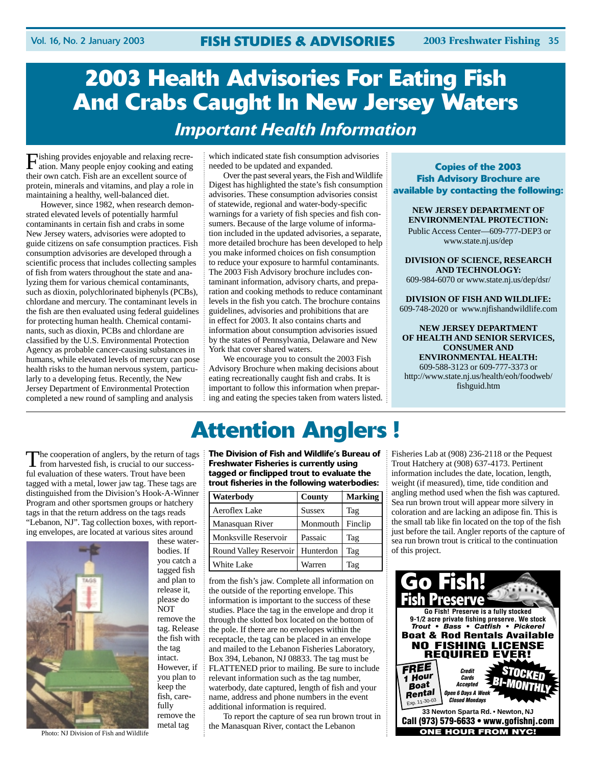## **2003 Health Advisories For Eating Fish And Crabs Caught In New Jersey Waters**  *Important Health Information*

Fishing provides enjoyable and relaxing recre-ation. Many people enjoy cooking and eating their own catch. Fish are an excellent source of protein, minerals and vitamins, and play a role in maintaining a healthy, well-balanced diet.

However, since 1982, when research demonstrated elevated levels of potentially harmful contaminants in certain fish and crabs in some New Jersey waters, advisories were adopted to guide citizens on safe consumption practices. Fish consumption advisories are developed through a scientific process that includes collecting samples of fish from waters throughout the state and analyzing them for various chemical contaminants, such as dioxin, polychlorinated biphenyls (PCBs), chlordane and mercury. The contaminant levels in the fish are then evaluated using federal guidelines for protecting human health. Chemical contaminants, such as dioxin, PCBs and chlordane are classified by the U.S. Environmental Protection Agency as probable cancer-causing substances in humans, while elevated levels of mercury can pose health risks to the human nervous system, particularly to a developing fetus. Recently, the New Jersey Department of Environmental Protection completed a new round of sampling and analysis

which indicated state fish consumption advisories needed to be updated and expanded.

Over the past several years, the Fish and Wildlife Digest has highlighted the state's fish consumption advisories. These consumption advisories consist of statewide, regional and water-body-specific warnings for a variety of fish species and fish consumers. Because of the large volume of information included in the updated advisories, a separate, more detailed brochure has been developed to help you make informed choices on fish consumption to reduce your exposure to harmful contaminants. The 2003 Fish Advisory brochure includes contaminant information, advisory charts, and preparation and cooking methods to reduce contaminant levels in the fish you catch. The brochure contains guidelines, advisories and prohibitions that are in effect for 2003. It also contains charts and information about consumption advisories issued by the states of Pennsylvania, Delaware and New York that cover shared waters.

We encourage you to consult the 2003 Fish Advisory Brochure when making decisions about eating recreationally caught fish and crabs. It is important to follow this information when preparing and eating the species taken from waters listed.

**Copies of the 2003 Fish Advisory Brochure are available by contacting the following:**

### **NEW JERSEY DEPARTMENT OF ENVIRONMENTAL PROTECTION:**

Public Access Center—609-777-DEP3 or www.state.nj.us/dep

**DIVISION OF SCIENCE, RESEARCH AND TECHNOLOGY:**

609-984-6070 or www.state.nj.us/dep/dsr/

**DIVISION OF FISH AND WILDLIFE:** 609-748-2020 or www.njfishandwildlife.com

**NEW JERSEY DEPARTMENT OF HEALTH AND SENIOR SERVICES, CONSUMER AND ENVIRONMENTAL HEALTH:** 609-588-3123 or 609-777-3373 or http://www.state.nj.us/health/eoh/foodweb/ fishguid.htm

The cooperation of anglers, by the return of tags<br>from harvested fish, is crucial to our successful evaluation of these waters. Trout have been tagged with a metal, lower jaw tag. These tags are distinguished from the Division's Hook-A-Winner Program and other sportsmen groups or hatchery tags in that the return address on the tags reads "Lebanon, NJ". Tag collection boxes, with reporting envelopes, are located at various sites around



these waterbodies. If you catch a tagged fish and plan to release it, please do NOT remove the tag. Release the fish with the tag intact. However, if you plan to keep the fish, carefully remove the metal tag

**The Division of Fish and Wildlife's Bureau of Freshwater Fisheries is currently using tagged or finclipped trout to evaluate the**

**Attention Anglers !**

| trout fisheries in the following waterbodies: |               |                |
|-----------------------------------------------|---------------|----------------|
| Waterbody                                     | County        | <b>Marking</b> |
| Aeroflex Lake                                 | <b>Sussex</b> | Tag            |
| Manasquan River                               | Monmouth      | Finclip        |
| Monksville Reservoir                          | Passaic       | Tag            |
| Round Valley Reservoir                        | Hunterdon     | Tag            |
| White Lake                                    | Warren        | Tag            |

from the fish's jaw. Complete all information on the outside of the reporting envelope. This information is important to the success of these studies. Place the tag in the envelope and drop it through the slotted box located on the bottom of the pole. If there are no envelopes within the receptacle, the tag can be placed in an envelope and mailed to the Lebanon Fisheries Laboratory, Box 394, Lebanon, NJ 08833. The tag must be FLATTENED prior to mailing. Be sure to include relevant information such as the tag number, waterbody, date captured, length of fish and your name, address and phone numbers in the event additional information is required.

To report the capture of sea run brown trout in the Manasquan River, contact the Lebanon

Fisheries Lab at (908) 236-2118 or the Pequest Trout Hatchery at (908) 637-4173. Pertinent information includes the date, location, length, weight (if measured), time, tide condition and angling method used when the fish was captured. Sea run brown trout will appear more silvery in coloration and are lacking an adipose fin. This is the small tab like fin located on the top of the fish just before the tail. Angler reports of the capture of sea run brown trout is critical to the continuation of this project.

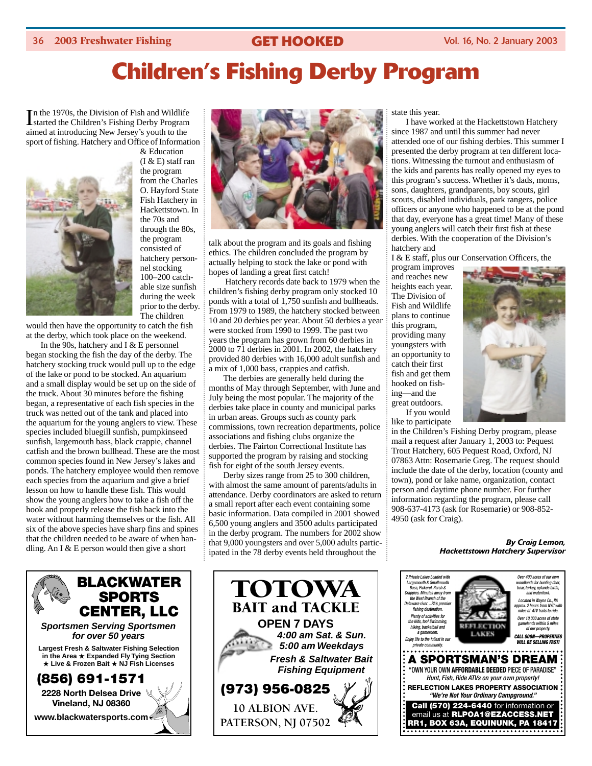# **Children's Fishing Derby Program**

In the 1970s, the Division of Fish and Wildlife<br>Istarted the Children's Fishing Derby Program started the Children's Fishing Derby Program aimed at introducing New Jersey's youth to the sport of fishing. Hatchery and Office of Information & Education



(I & E) staff ran the program from the Charles O. Hayford State Fish Hatchery in Hackettstown. In the 70s and through the 80s, the program consisted of hatchery personnel stocking 100–200 catchable size sunfish during the week prior to the derby. The children

would then have the opportunity to catch the fish at the derby, which took place on the weekend.

In the 90s, hatchery and I & E personnel began stocking the fish the day of the derby. The hatchery stocking truck would pull up to the edge of the lake or pond to be stocked. An aquarium and a small display would be set up on the side of the truck. About 30 minutes before the fishing began, a representative of each fish species in the truck was netted out of the tank and placed into the aquarium for the young anglers to view. These species included bluegill sunfish, pumpkinseed sunfish, largemouth bass, black crappie, channel catfish and the brown bullhead. These are the most common species found in New Jersey's lakes and ponds. The hatchery employee would then remove each species from the aquarium and give a brief lesson on how to handle these fish. This would show the young anglers how to take a fish off the hook and properly release the fish back into the water without harming themselves or the fish. All six of the above species have sharp fins and spines that the children needed to be aware of when handling. An I  $&$  E person would then give a short





talk about the program and its goals and fishing ethics. The children concluded the program by actually helping to stock the lake or pond with hopes of landing a great first catch!

Hatchery records date back to 1979 when the children's fishing derby program only stocked 10 ponds with a total of 1,750 sunfish and bullheads. From 1979 to 1989, the hatchery stocked between 10 and 20 derbies per year. About 50 derbies a year were stocked from 1990 to 1999. The past two years the program has grown from 60 derbies in 2000 to 71 derbies in 2001. In 2002, the hatchery provided 80 derbies with 16,000 adult sunfish and a mix of 1,000 bass, crappies and catfish.

The derbies are generally held during the months of May through September, with June and July being the most popular. The majority of the derbies take place in county and municipal parks in urban areas. Groups such as county park commissions, town recreation departments, police associations and fishing clubs organize the derbies. The Fairton Correctional Institute has supported the program by raising and stocking fish for eight of the south Jersey events.

Derby sizes range from 25 to 300 children, with almost the same amount of parents/adults in attendance. Derby coordinators are asked to return a small report after each event containing some basic information. Data compiled in 2001 showed 6,500 young anglers and 3500 adults participated in the derby program. The numbers for 2002 show that 9,000 youngsters and over 5,000 adults participated in the 78 derby events held throughout the



state this year.

I have worked at the Hackettstown Hatchery since 1987 and until this summer had never attended one of our fishing derbies. This summer I presented the derby program at ten different locations. Witnessing the turnout and enthusiasm of the kids and parents has really opened my eyes to this program's success. Whether it's dads, moms, sons, daughters, grandparents, boy scouts, girl scouts, disabled individuals, park rangers, police officers or anyone who happened to be at the pond that day, everyone has a great time! Many of these young anglers will catch their first fish at these derbies. With the cooperation of the Division's hatchery and

I & E staff, plus our Conservation Officers, the

program improves and reaches new heights each year. The Division of Fish and Wildlife plans to continue this program, providing many youngsters with an opportunity to catch their first fish and get them hooked on fishing—and the great outdoors. If you would like to participate



in the Children's Fishing Derby program, please mail a request after January 1, 2003 to: Pequest Trout Hatchery, 605 Pequest Road, Oxford, NJ 07863 Attn: Rosemarie Greg. The request should include the date of the derby, location (county and town), pond or lake name, organization, contact person and daytime phone number. For further information regarding the program, please call 908-637-4173 (ask for Rosemarie) or 908-852- 4950 (ask for Craig).

### *By Craig Lemon, Hackettstown Hatchery Supervisor*